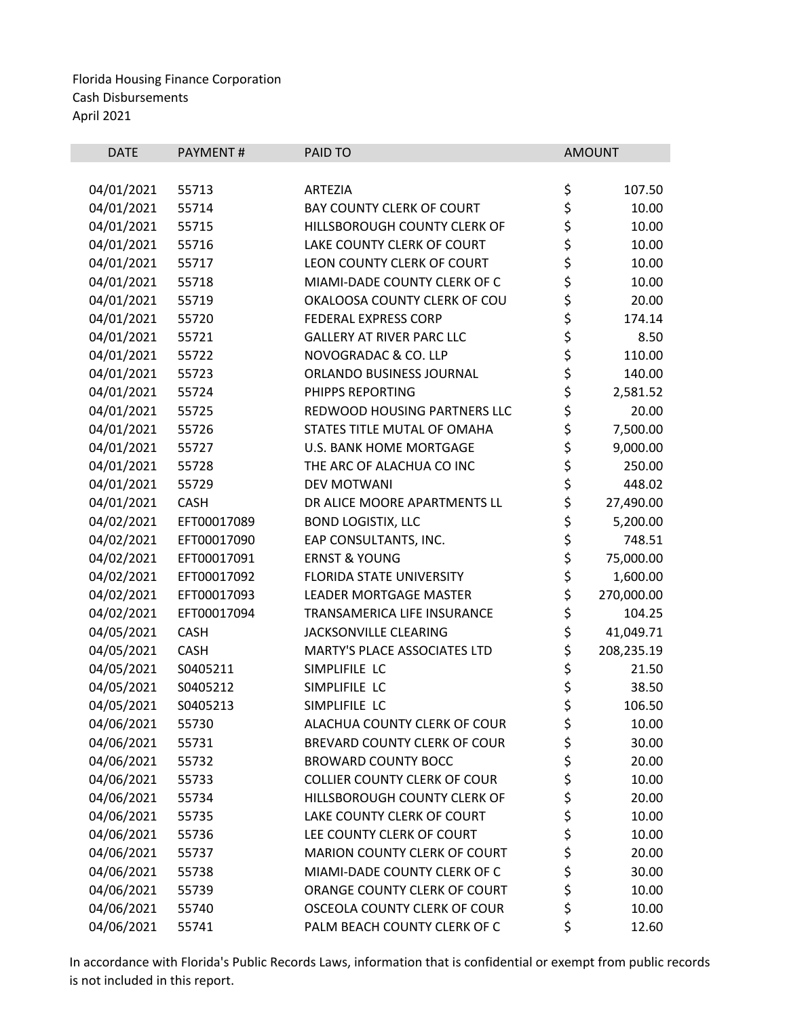| <b>DATE</b> | PAYMENT#    | PAID TO                             |          | <b>AMOUNT</b> |
|-------------|-------------|-------------------------------------|----------|---------------|
|             |             |                                     |          |               |
| 04/01/2021  | 55713       | <b>ARTEZIA</b>                      | \$       | 107.50        |
| 04/01/2021  | 55714       | <b>BAY COUNTY CLERK OF COURT</b>    | \$       | 10.00         |
| 04/01/2021  | 55715       | HILLSBOROUGH COUNTY CLERK OF        | \$       | 10.00         |
| 04/01/2021  | 55716       | LAKE COUNTY CLERK OF COURT          | \$       | 10.00         |
| 04/01/2021  | 55717       | LEON COUNTY CLERK OF COURT          | \$<br>\$ | 10.00         |
| 04/01/2021  | 55718       | MIAMI-DADE COUNTY CLERK OF C        |          | 10.00         |
| 04/01/2021  | 55719       | OKALOOSA COUNTY CLERK OF COU        | \$       | 20.00         |
| 04/01/2021  | 55720       | FEDERAL EXPRESS CORP                | \$       | 174.14        |
| 04/01/2021  | 55721       | <b>GALLERY AT RIVER PARC LLC</b>    | \$       | 8.50          |
| 04/01/2021  | 55722       | NOVOGRADAC & CO. LLP                | \$<br>\$ | 110.00        |
| 04/01/2021  | 55723       | ORLANDO BUSINESS JOURNAL            |          | 140.00        |
| 04/01/2021  | 55724       | PHIPPS REPORTING                    | \$       | 2,581.52      |
| 04/01/2021  | 55725       | REDWOOD HOUSING PARTNERS LLC        | \$<br>\$ | 20.00         |
| 04/01/2021  | 55726       | STATES TITLE MUTAL OF OMAHA         |          | 7,500.00      |
| 04/01/2021  | 55727       | <b>U.S. BANK HOME MORTGAGE</b>      | \$       | 9,000.00      |
| 04/01/2021  | 55728       | THE ARC OF ALACHUA CO INC           | \$       | 250.00        |
| 04/01/2021  | 55729       | <b>DEV MOTWANI</b>                  | \$       | 448.02        |
| 04/01/2021  | <b>CASH</b> | DR ALICE MOORE APARTMENTS LL        | \$       | 27,490.00     |
| 04/02/2021  | EFT00017089 | <b>BOND LOGISTIX, LLC</b>           | \$       | 5,200.00      |
| 04/02/2021  | EFT00017090 | EAP CONSULTANTS, INC.               |          | 748.51        |
| 04/02/2021  | EFT00017091 | <b>ERNST &amp; YOUNG</b>            | \$<br>\$ | 75,000.00     |
| 04/02/2021  | EFT00017092 | FLORIDA STATE UNIVERSITY            | \$       | 1,600.00      |
| 04/02/2021  | EFT00017093 | LEADER MORTGAGE MASTER              | \$       | 270,000.00    |
| 04/02/2021  | EFT00017094 | TRANSAMERICA LIFE INSURANCE         | \$       | 104.25        |
| 04/05/2021  | <b>CASH</b> | JACKSONVILLE CLEARING               | \$       | 41,049.71     |
| 04/05/2021  | <b>CASH</b> | MARTY'S PLACE ASSOCIATES LTD        | \$       | 208,235.19    |
| 04/05/2021  | S0405211    | SIMPLIFILE LC                       | \$       | 21.50         |
| 04/05/2021  | S0405212    | SIMPLIFILE LC                       |          | 38.50         |
| 04/05/2021  | S0405213    | SIMPLIFILE LC                       | \$<br>\$ | 106.50        |
| 04/06/2021  | 55730       | ALACHUA COUNTY CLERK OF COUR        | \$       | 10.00         |
| 04/06/2021  | 55731       | BREVARD COUNTY CLERK OF COUR        | \$       | 30.00         |
| 04/06/2021  | 55732       | <b>BROWARD COUNTY BOCC</b>          |          | 20.00         |
| 04/06/2021  | 55733       | <b>COLLIER COUNTY CLERK OF COUR</b> | \$\$\$   | 10.00         |
| 04/06/2021  | 55734       | HILLSBOROUGH COUNTY CLERK OF        |          | 20.00         |
| 04/06/2021  | 55735       | LAKE COUNTY CLERK OF COURT          | \$       | 10.00         |
| 04/06/2021  | 55736       | LEE COUNTY CLERK OF COURT           | \$       | 10.00         |
| 04/06/2021  | 55737       | MARION COUNTY CLERK OF COURT        |          | 20.00         |
| 04/06/2021  | 55738       | MIAMI-DADE COUNTY CLERK OF C        | \$\$\$   | 30.00         |
| 04/06/2021  | 55739       | ORANGE COUNTY CLERK OF COURT        |          | 10.00         |
| 04/06/2021  | 55740       | OSCEOLA COUNTY CLERK OF COUR        | \$       | 10.00         |
| 04/06/2021  | 55741       | PALM BEACH COUNTY CLERK OF C        | \$       | 12.60         |
|             |             |                                     |          |               |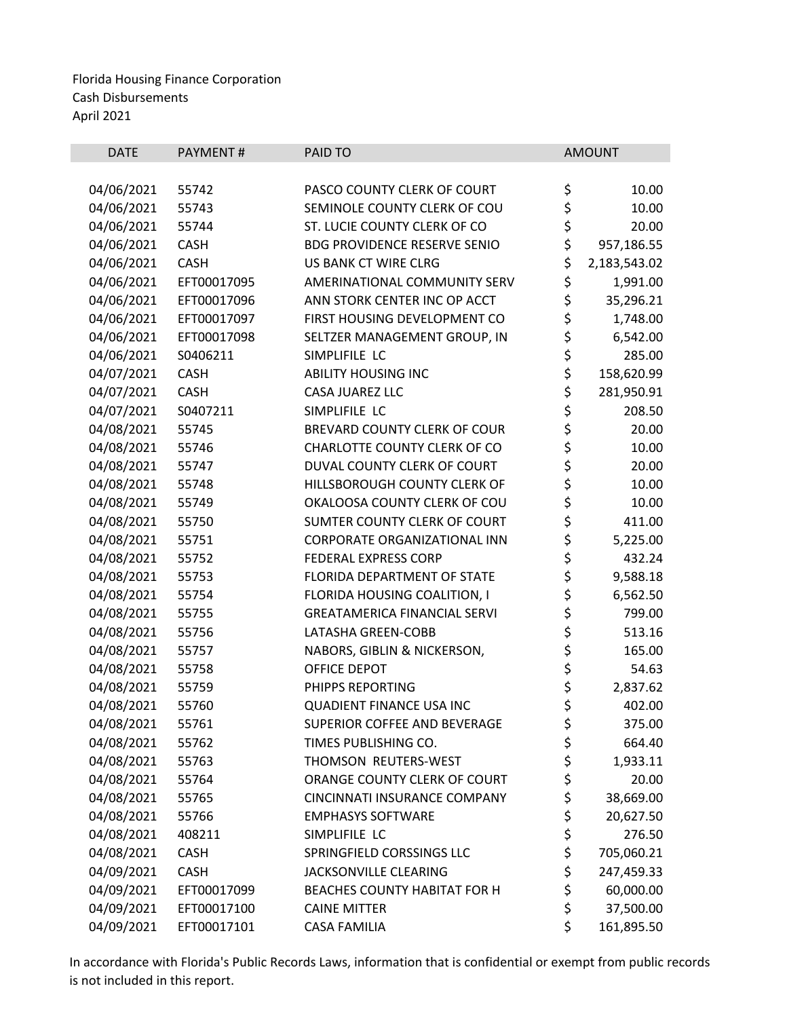| <b>DATE</b>              | PAYMENT#       | PAID TO                                                      |          | <b>AMOUNT</b>  |
|--------------------------|----------------|--------------------------------------------------------------|----------|----------------|
|                          |                |                                                              |          |                |
| 04/06/2021<br>04/06/2021 | 55742<br>55743 | PASCO COUNTY CLERK OF COURT<br>SEMINOLE COUNTY CLERK OF COU  | \$<br>\$ | 10.00<br>10.00 |
| 04/06/2021               | 55744          | ST. LUCIE COUNTY CLERK OF CO                                 | \$       | 20.00          |
|                          | <b>CASH</b>    | <b>BDG PROVIDENCE RESERVE SENIO</b>                          | \$       |                |
| 04/06/2021               |                |                                                              | \$       | 957,186.55     |
| 04/06/2021               | <b>CASH</b>    | US BANK CT WIRE CLRG                                         |          | 2,183,543.02   |
| 04/06/2021               | EFT00017095    | AMERINATIONAL COMMUNITY SERV<br>ANN STORK CENTER INC OP ACCT | \$       | 1,991.00       |
| 04/06/2021               | EFT00017096    |                                                              | \$       | 35,296.21      |
| 04/06/2021               | EFT00017097    | FIRST HOUSING DEVELOPMENT CO                                 | \$       | 1,748.00       |
| 04/06/2021               | EFT00017098    | SELTZER MANAGEMENT GROUP, IN                                 | \$       | 6,542.00       |
| 04/06/2021               | S0406211       | SIMPLIFILE LC                                                | \$       | 285.00         |
| 04/07/2021               | <b>CASH</b>    | <b>ABILITY HOUSING INC</b>                                   | \$       | 158,620.99     |
| 04/07/2021               | <b>CASH</b>    | <b>CASA JUAREZ LLC</b>                                       | \$       | 281,950.91     |
| 04/07/2021               | S0407211       | SIMPLIFILE LC                                                | \$       | 208.50         |
| 04/08/2021               | 55745          | <b>BREVARD COUNTY CLERK OF COUR</b>                          | \$       | 20.00          |
| 04/08/2021               | 55746          | CHARLOTTE COUNTY CLERK OF CO                                 | \$       | 10.00          |
| 04/08/2021               | 55747          | DUVAL COUNTY CLERK OF COURT                                  | \$       | 20.00          |
| 04/08/2021               | 55748          | HILLSBOROUGH COUNTY CLERK OF                                 | \$       | 10.00          |
| 04/08/2021               | 55749          | OKALOOSA COUNTY CLERK OF COU                                 | \$       | 10.00          |
| 04/08/2021               | 55750          | SUMTER COUNTY CLERK OF COURT                                 | \$       | 411.00         |
| 04/08/2021               | 55751          | CORPORATE ORGANIZATIONAL INN                                 | \$       | 5,225.00       |
| 04/08/2021               | 55752          | FEDERAL EXPRESS CORP                                         | \$       | 432.24         |
| 04/08/2021               | 55753          | FLORIDA DEPARTMENT OF STATE                                  | \$       | 9,588.18       |
| 04/08/2021               | 55754          | FLORIDA HOUSING COALITION, I                                 | \$       | 6,562.50       |
| 04/08/2021               | 55755          | <b>GREATAMERICA FINANCIAL SERVI</b>                          | \$       | 799.00         |
| 04/08/2021               | 55756          | LATASHA GREEN-COBB                                           | \$       | 513.16         |
| 04/08/2021               | 55757          | NABORS, GIBLIN & NICKERSON,                                  | \$       | 165.00         |
| 04/08/2021               | 55758          | OFFICE DEPOT                                                 | \$       | 54.63          |
| 04/08/2021               | 55759          | PHIPPS REPORTING                                             | \$       | 2,837.62       |
| 04/08/2021               | 55760          | <b>QUADIENT FINANCE USA INC</b>                              | \$       | 402.00         |
| 04/08/2021               | 55761          | SUPERIOR COFFEE AND BEVERAGE                                 | \$       | 375.00         |
| 04/08/2021               | 55762          | TIMES PUBLISHING CO.                                         | \$       | 664.40         |
| 04/08/2021               | 55763          | THOMSON REUTERS-WEST                                         | \$       | 1,933.11       |
| 04/08/2021               | 55764          | ORANGE COUNTY CLERK OF COURT                                 | \$       | 20.00          |
| 04/08/2021               | 55765          | CINCINNATI INSURANCE COMPANY                                 | \$       | 38,669.00      |
| 04/08/2021               | 55766          | <b>EMPHASYS SOFTWARE</b>                                     | \$       | 20,627.50      |
| 04/08/2021               | 408211         | SIMPLIFILE LC                                                | \$       | 276.50         |
| 04/08/2021               | <b>CASH</b>    | SPRINGFIELD CORSSINGS LLC                                    | \$       | 705,060.21     |
| 04/09/2021               | <b>CASH</b>    | JACKSONVILLE CLEARING                                        | \$       | 247,459.33     |
| 04/09/2021               | EFT00017099    | <b>BEACHES COUNTY HABITAT FOR H</b>                          | \$       | 60,000.00      |
| 04/09/2021               | EFT00017100    | <b>CAINE MITTER</b>                                          | \$       | 37,500.00      |
| 04/09/2021               | EFT00017101    | <b>CASA FAMILIA</b>                                          | \$       | 161,895.50     |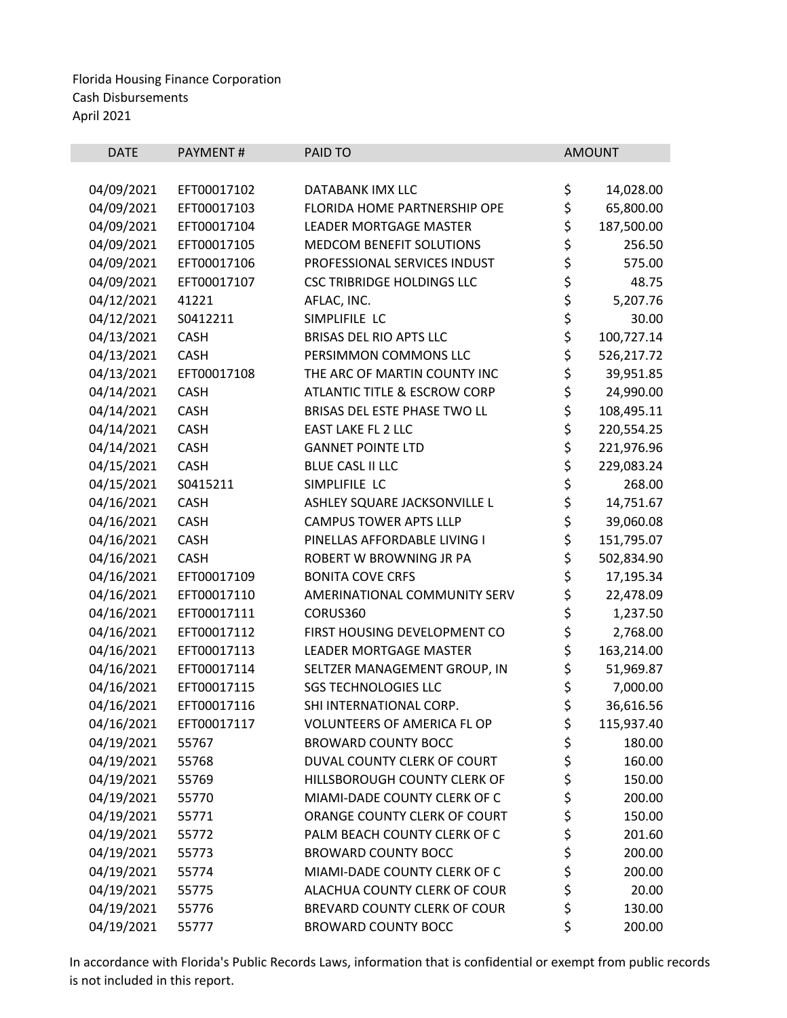| <b>DATE</b> | PAYMENT#    | PAID TO                                 |          | <b>AMOUNT</b> |
|-------------|-------------|-----------------------------------------|----------|---------------|
|             |             |                                         |          |               |
| 04/09/2021  | EFT00017102 | DATABANK IMX LLC                        | \$       | 14,028.00     |
| 04/09/2021  | EFT00017103 | <b>FLORIDA HOME PARTNERSHIP OPE</b>     | \$       | 65,800.00     |
| 04/09/2021  | EFT00017104 | <b>LEADER MORTGAGE MASTER</b>           | \$       | 187,500.00    |
| 04/09/2021  | EFT00017105 | MEDCOM BENEFIT SOLUTIONS                | \$       | 256.50        |
| 04/09/2021  | EFT00017106 | PROFESSIONAL SERVICES INDUST            | \$       | 575.00        |
| 04/09/2021  | EFT00017107 | <b>CSC TRIBRIDGE HOLDINGS LLC</b>       | \$<br>\$ | 48.75         |
| 04/12/2021  | 41221       | AFLAC, INC.                             |          | 5,207.76      |
| 04/12/2021  | S0412211    | SIMPLIFILE LC                           | \$       | 30.00         |
| 04/13/2021  | <b>CASH</b> | <b>BRISAS DEL RIO APTS LLC</b>          | \$       | 100,727.14    |
| 04/13/2021  | <b>CASH</b> | PERSIMMON COMMONS LLC                   | \$       | 526,217.72    |
| 04/13/2021  | EFT00017108 | THE ARC OF MARTIN COUNTY INC            | \$       | 39,951.85     |
| 04/14/2021  | <b>CASH</b> | <b>ATLANTIC TITLE &amp; ESCROW CORP</b> | \$       | 24,990.00     |
| 04/14/2021  | <b>CASH</b> | BRISAS DEL ESTE PHASE TWO LL            | \$       | 108,495.11    |
| 04/14/2021  | <b>CASH</b> | <b>EAST LAKE FL 2 LLC</b>               | \$<br>\$ | 220,554.25    |
| 04/14/2021  | <b>CASH</b> | <b>GANNET POINTE LTD</b>                |          | 221,976.96    |
| 04/15/2021  | <b>CASH</b> | <b>BLUE CASL II LLC</b>                 | \$       | 229,083.24    |
| 04/15/2021  | S0415211    | SIMPLIFILE LC                           | \$       | 268.00        |
| 04/16/2021  | <b>CASH</b> | ASHLEY SQUARE JACKSONVILLE L            | \$       | 14,751.67     |
| 04/16/2021  | <b>CASH</b> | <b>CAMPUS TOWER APTS LLLP</b>           | \$       | 39,060.08     |
| 04/16/2021  | <b>CASH</b> | PINELLAS AFFORDABLE LIVING I            | \$       | 151,795.07    |
| 04/16/2021  | <b>CASH</b> | ROBERT W BROWNING JR PA                 | \$       | 502,834.90    |
| 04/16/2021  | EFT00017109 | <b>BONITA COVE CRFS</b>                 | \$       | 17,195.34     |
| 04/16/2021  | EFT00017110 | AMERINATIONAL COMMUNITY SERV            | \$       | 22,478.09     |
| 04/16/2021  | EFT00017111 | CORUS360                                | \$       | 1,237.50      |
| 04/16/2021  | EFT00017112 | FIRST HOUSING DEVELOPMENT CO            | \$       | 2,768.00      |
| 04/16/2021  | EFT00017113 | <b>LEADER MORTGAGE MASTER</b>           | \$       | 163,214.00    |
| 04/16/2021  | EFT00017114 | SELTZER MANAGEMENT GROUP, IN            | \$       | 51,969.87     |
| 04/16/2021  | EFT00017115 | <b>SGS TECHNOLOGIES LLC</b>             | \$       | 7,000.00      |
| 04/16/2021  | EFT00017116 | SHI INTERNATIONAL CORP.                 | \$       | 36,616.56     |
| 04/16/2021  | EFT00017117 | <b>VOLUNTEERS OF AMERICA FL OP</b>      | \$       | 115,937.40    |
| 04/19/2021  | 55767       | <b>BROWARD COUNTY BOCC</b>              | \$       | 180.00        |
| 04/19/2021  | 55768       | DUVAL COUNTY CLERK OF COURT             | \$       | 160.00        |
| 04/19/2021  | 55769       | HILLSBOROUGH COUNTY CLERK OF            | \$       | 150.00        |
| 04/19/2021  | 55770       | MIAMI-DADE COUNTY CLERK OF C            | \$       | 200.00        |
| 04/19/2021  | 55771       | ORANGE COUNTY CLERK OF COURT            | \$       | 150.00        |
| 04/19/2021  | 55772       | PALM BEACH COUNTY CLERK OF C            | \$       | 201.60        |
| 04/19/2021  | 55773       | <b>BROWARD COUNTY BOCC</b>              | \$       | 200.00        |
| 04/19/2021  | 55774       | MIAMI-DADE COUNTY CLERK OF C            | \$       | 200.00        |
| 04/19/2021  | 55775       | ALACHUA COUNTY CLERK OF COUR            | \$       | 20.00         |
| 04/19/2021  | 55776       | BREVARD COUNTY CLERK OF COUR            | \$       | 130.00        |
| 04/19/2021  | 55777       | <b>BROWARD COUNTY BOCC</b>              | \$       | 200.00        |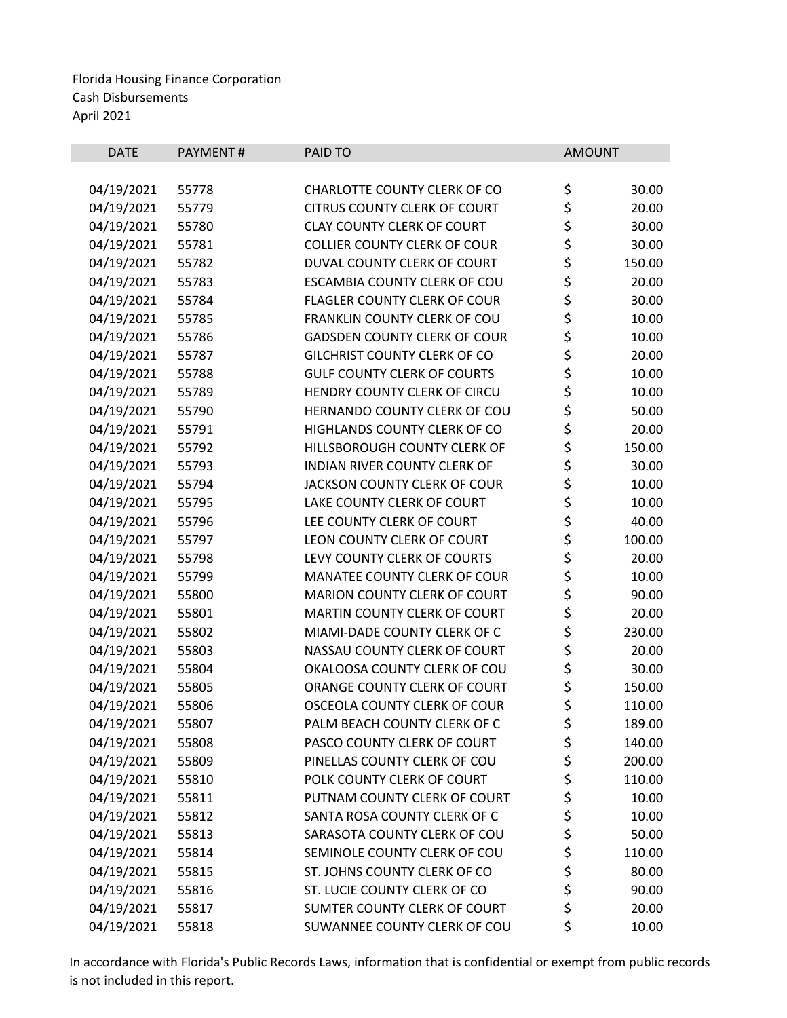| <b>DATE</b> | PAYMENT# | PAID TO                             | <b>AMOUNT</b> |        |
|-------------|----------|-------------------------------------|---------------|--------|
|             |          |                                     |               |        |
| 04/19/2021  | 55778    | CHARLOTTE COUNTY CLERK OF CO        | \$            | 30.00  |
| 04/19/2021  | 55779    | <b>CITRUS COUNTY CLERK OF COURT</b> | \$            | 20.00  |
| 04/19/2021  | 55780    | <b>CLAY COUNTY CLERK OF COURT</b>   | \$<br>\$      | 30.00  |
| 04/19/2021  | 55781    | <b>COLLIER COUNTY CLERK OF COUR</b> |               | 30.00  |
| 04/19/2021  | 55782    | DUVAL COUNTY CLERK OF COURT         | \$            | 150.00 |
| 04/19/2021  | 55783    | ESCAMBIA COUNTY CLERK OF COU        | \$<br>\$      | 20.00  |
| 04/19/2021  | 55784    | <b>FLAGLER COUNTY CLERK OF COUR</b> |               | 30.00  |
| 04/19/2021  | 55785    | FRANKLIN COUNTY CLERK OF COU        | \$<br>\$      | 10.00  |
| 04/19/2021  | 55786    | <b>GADSDEN COUNTY CLERK OF COUR</b> |               | 10.00  |
| 04/19/2021  | 55787    | <b>GILCHRIST COUNTY CLERK OF CO</b> | \$            | 20.00  |
| 04/19/2021  | 55788    | <b>GULF COUNTY CLERK OF COURTS</b>  | \$<br>\$      | 10.00  |
| 04/19/2021  | 55789    | HENDRY COUNTY CLERK OF CIRCU        |               | 10.00  |
| 04/19/2021  | 55790    | HERNANDO COUNTY CLERK OF COU        | \$<br>\$      | 50.00  |
| 04/19/2021  | 55791    | HIGHLANDS COUNTY CLERK OF CO        |               | 20.00  |
| 04/19/2021  | 55792    | HILLSBOROUGH COUNTY CLERK OF        | \$            | 150.00 |
| 04/19/2021  | 55793    | <b>INDIAN RIVER COUNTY CLERK OF</b> |               | 30.00  |
| 04/19/2021  | 55794    | JACKSON COUNTY CLERK OF COUR        |               | 10.00  |
| 04/19/2021  | 55795    | LAKE COUNTY CLERK OF COURT          | \$\$\$\$      | 10.00  |
| 04/19/2021  | 55796    | LEE COUNTY CLERK OF COURT           |               | 40.00  |
| 04/19/2021  | 55797    | LEON COUNTY CLERK OF COURT          | \$            | 100.00 |
| 04/19/2021  | 55798    | LEVY COUNTY CLERK OF COURTS         | \$<br>\$      | 20.00  |
| 04/19/2021  | 55799    | MANATEE COUNTY CLERK OF COUR        |               | 10.00  |
| 04/19/2021  | 55800    | MARION COUNTY CLERK OF COURT        | \$            | 90.00  |
| 04/19/2021  | 55801    | MARTIN COUNTY CLERK OF COURT        | \$            | 20.00  |
| 04/19/2021  | 55802    | MIAMI-DADE COUNTY CLERK OF C        | \$            | 230.00 |
| 04/19/2021  | 55803    | NASSAU COUNTY CLERK OF COURT        | \$            | 20.00  |
| 04/19/2021  | 55804    | OKALOOSA COUNTY CLERK OF COU        | \$            | 30.00  |
| 04/19/2021  | 55805    | ORANGE COUNTY CLERK OF COURT        | \$            | 150.00 |
| 04/19/2021  | 55806    | OSCEOLA COUNTY CLERK OF COUR        | \$            | 110.00 |
| 04/19/2021  | 55807    | PALM BEACH COUNTY CLERK OF C        | \$            | 189.00 |
| 04/19/2021  | 55808    | PASCO COUNTY CLERK OF COURT         | \$            | 140.00 |
| 04/19/2021  | 55809    | PINELLAS COUNTY CLERK OF COU        | \$            | 200.00 |
| 04/19/2021  | 55810    | POLK COUNTY CLERK OF COURT          | \$            | 110.00 |
| 04/19/2021  | 55811    | PUTNAM COUNTY CLERK OF COURT        | \$<br>\$      | 10.00  |
| 04/19/2021  | 55812    | SANTA ROSA COUNTY CLERK OF C        |               | 10.00  |
| 04/19/2021  | 55813    | SARASOTA COUNTY CLERK OF COU        | \$            | 50.00  |
| 04/19/2021  | 55814    | SEMINOLE COUNTY CLERK OF COU        | \$            | 110.00 |
| 04/19/2021  | 55815    | ST. JOHNS COUNTY CLERK OF CO        | \$            | 80.00  |
| 04/19/2021  | 55816    | ST. LUCIE COUNTY CLERK OF CO        | \$            | 90.00  |
| 04/19/2021  | 55817    | SUMTER COUNTY CLERK OF COURT        | \$            | 20.00  |
| 04/19/2021  | 55818    | SUWANNEE COUNTY CLERK OF COU        | \$            | 10.00  |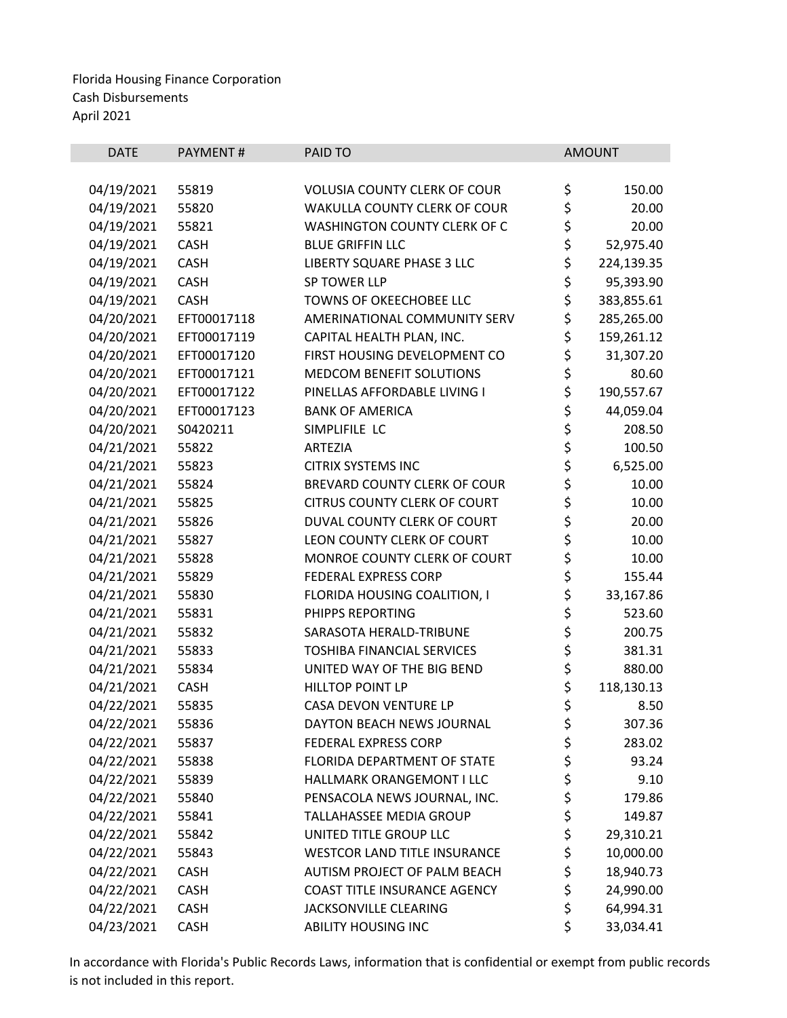| <b>DATE</b> | <b>PAYMENT#</b> | PAID TO                             |          | <b>AMOUNT</b> |
|-------------|-----------------|-------------------------------------|----------|---------------|
|             |                 |                                     |          |               |
| 04/19/2021  | 55819           | <b>VOLUSIA COUNTY CLERK OF COUR</b> | \$       | 150.00        |
| 04/19/2021  | 55820           | WAKULLA COUNTY CLERK OF COUR        | \$       | 20.00         |
| 04/19/2021  | 55821           | <b>WASHINGTON COUNTY CLERK OF C</b> | \$<br>\$ | 20.00         |
| 04/19/2021  | CASH            | <b>BLUE GRIFFIN LLC</b>             |          | 52,975.40     |
| 04/19/2021  | CASH            | LIBERTY SQUARE PHASE 3 LLC          | \$<br>\$ | 224,139.35    |
| 04/19/2021  | <b>CASH</b>     | SP TOWER LLP                        |          | 95,393.90     |
| 04/19/2021  | CASH            | <b>TOWNS OF OKEECHOBEE LLC</b>      | \$       | 383,855.61    |
| 04/20/2021  | EFT00017118     | AMERINATIONAL COMMUNITY SERV        | \$       | 285,265.00    |
| 04/20/2021  | EFT00017119     | CAPITAL HEALTH PLAN, INC.           | \$       | 159,261.12    |
| 04/20/2021  | EFT00017120     | FIRST HOUSING DEVELOPMENT CO        | \$       | 31,307.20     |
| 04/20/2021  | EFT00017121     | <b>MEDCOM BENEFIT SOLUTIONS</b>     | \$       | 80.60         |
| 04/20/2021  | EFT00017122     | PINELLAS AFFORDABLE LIVING I        | \$       | 190,557.67    |
| 04/20/2021  | EFT00017123     | <b>BANK OF AMERICA</b>              |          | 44,059.04     |
| 04/20/2021  | S0420211        | SIMPLIFILE LC                       | \$\$\$   | 208.50        |
| 04/21/2021  | 55822           | <b>ARTEZIA</b>                      |          | 100.50        |
| 04/21/2021  | 55823           | <b>CITRIX SYSTEMS INC</b>           | \$       | 6,525.00      |
| 04/21/2021  | 55824           | BREVARD COUNTY CLERK OF COUR        | \$       | 10.00         |
| 04/21/2021  | 55825           | <b>CITRUS COUNTY CLERK OF COURT</b> | \$       | 10.00         |
| 04/21/2021  | 55826           | DUVAL COUNTY CLERK OF COURT         | \$       | 20.00         |
| 04/21/2021  | 55827           | LEON COUNTY CLERK OF COURT          | \$       | 10.00         |
| 04/21/2021  | 55828           | MONROE COUNTY CLERK OF COURT        |          | 10.00         |
| 04/21/2021  | 55829           | FEDERAL EXPRESS CORP                | \$<br>\$ | 155.44        |
| 04/21/2021  | 55830           | FLORIDA HOUSING COALITION, I        | \$       | 33,167.86     |
| 04/21/2021  | 55831           | PHIPPS REPORTING                    |          | 523.60        |
| 04/21/2021  | 55832           | SARASOTA HERALD-TRIBUNE             | \$<br>\$ | 200.75        |
| 04/21/2021  | 55833           | TOSHIBA FINANCIAL SERVICES          |          | 381.31        |
| 04/21/2021  | 55834           | UNITED WAY OF THE BIG BEND          | \$<br>\$ | 880.00        |
| 04/21/2021  | <b>CASH</b>     | <b>HILLTOP POINT LP</b>             | \$       | 118,130.13    |
| 04/22/2021  | 55835           | <b>CASA DEVON VENTURE LP</b>        | \$       | 8.50          |
| 04/22/2021  | 55836           | DAYTON BEACH NEWS JOURNAL           | \$       | 307.36        |
| 04/22/2021  | 55837           | <b>FEDERAL EXPRESS CORP</b>         | \$       | 283.02        |
| 04/22/2021  | 55838           | FLORIDA DEPARTMENT OF STATE         | \$       | 93.24         |
| 04/22/2021  | 55839           | HALLMARK ORANGEMONT I LLC           | \$       | 9.10          |
| 04/22/2021  | 55840           | PENSACOLA NEWS JOURNAL, INC.        | \$       | 179.86        |
| 04/22/2021  | 55841           | TALLAHASSEE MEDIA GROUP             | \$       | 149.87        |
| 04/22/2021  | 55842           | UNITED TITLE GROUP LLC              | \$       | 29,310.21     |
| 04/22/2021  | 55843           | <b>WESTCOR LAND TITLE INSURANCE</b> | \$       | 10,000.00     |
| 04/22/2021  | <b>CASH</b>     | AUTISM PROJECT OF PALM BEACH        | \$       | 18,940.73     |
| 04/22/2021  | <b>CASH</b>     | COAST TITLE INSURANCE AGENCY        | \$       | 24,990.00     |
| 04/22/2021  | <b>CASH</b>     | JACKSONVILLE CLEARING               | \$       | 64,994.31     |
| 04/23/2021  | CASH            | <b>ABILITY HOUSING INC</b>          | \$       | 33,034.41     |
|             |                 |                                     |          |               |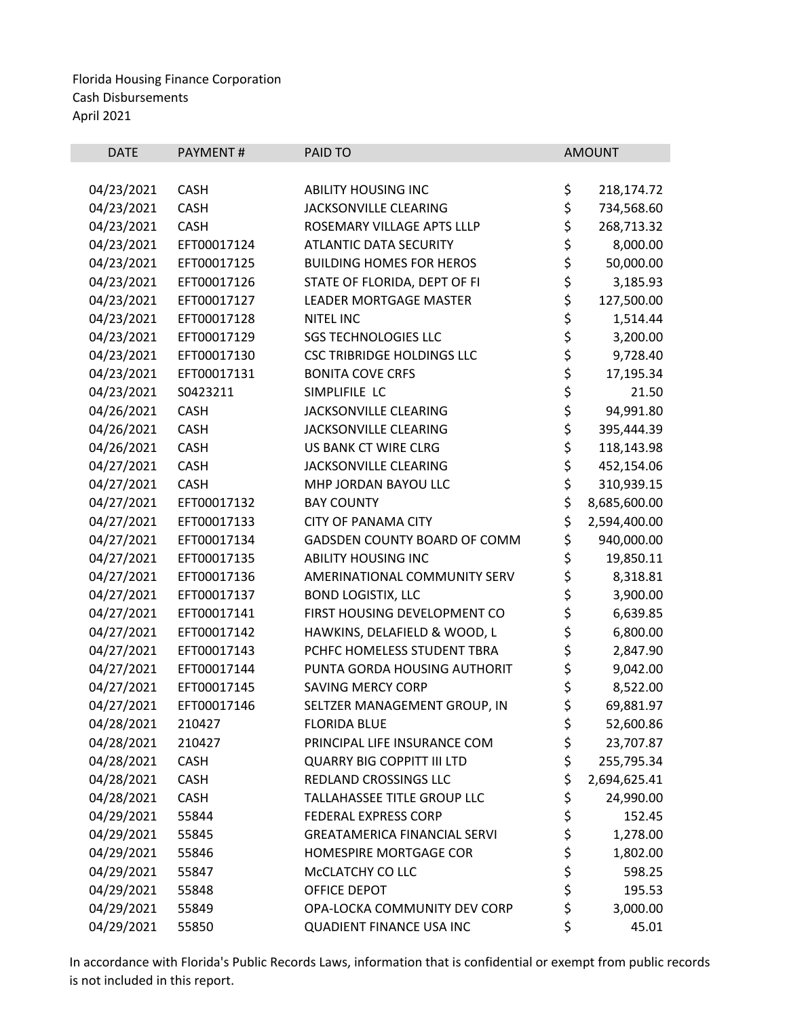| <b>DATE</b> | <b>PAYMENT#</b> | PAID TO                             |          | <b>AMOUNT</b> |
|-------------|-----------------|-------------------------------------|----------|---------------|
|             |                 |                                     |          |               |
| 04/23/2021  | <b>CASH</b>     | <b>ABILITY HOUSING INC</b>          | \$       | 218,174.72    |
| 04/23/2021  | <b>CASH</b>     | JACKSONVILLE CLEARING               | \$       | 734,568.60    |
| 04/23/2021  | <b>CASH</b>     | ROSEMARY VILLAGE APTS LLLP          | \$       | 268,713.32    |
| 04/23/2021  | EFT00017124     | <b>ATLANTIC DATA SECURITY</b>       | \$       | 8,000.00      |
| 04/23/2021  | EFT00017125     | <b>BUILDING HOMES FOR HEROS</b>     | \$       | 50,000.00     |
| 04/23/2021  | EFT00017126     | STATE OF FLORIDA, DEPT OF FI        | \$<br>\$ | 3,185.93      |
| 04/23/2021  | EFT00017127     | <b>LEADER MORTGAGE MASTER</b>       |          | 127,500.00    |
| 04/23/2021  | EFT00017128     | <b>NITEL INC</b>                    | \$       | 1,514.44      |
| 04/23/2021  | EFT00017129     | <b>SGS TECHNOLOGIES LLC</b>         | \$<br>\$ | 3,200.00      |
| 04/23/2021  | EFT00017130     | <b>CSC TRIBRIDGE HOLDINGS LLC</b>   |          | 9,728.40      |
| 04/23/2021  | EFT00017131     | <b>BONITA COVE CRFS</b>             | \$       | 17,195.34     |
| 04/23/2021  | S0423211        | SIMPLIFILE LC                       |          | 21.50         |
| 04/26/2021  | <b>CASH</b>     | JACKSONVILLE CLEARING               | \$\$\$\$ | 94,991.80     |
| 04/26/2021  | <b>CASH</b>     | JACKSONVILLE CLEARING               |          | 395,444.39    |
| 04/26/2021  | <b>CASH</b>     | US BANK CT WIRE CLRG                |          | 118,143.98    |
| 04/27/2021  | <b>CASH</b>     | JACKSONVILLE CLEARING               | \$       | 452,154.06    |
| 04/27/2021  | <b>CASH</b>     | MHP JORDAN BAYOU LLC                | \$       | 310,939.15    |
| 04/27/2021  | EFT00017132     | <b>BAY COUNTY</b>                   | \$       | 8,685,600.00  |
| 04/27/2021  | EFT00017133     | <b>CITY OF PANAMA CITY</b>          | \$       | 2,594,400.00  |
| 04/27/2021  | EFT00017134     | GADSDEN COUNTY BOARD OF COMM        | \$       | 940,000.00    |
| 04/27/2021  | EFT00017135     | <b>ABILITY HOUSING INC</b>          | \$       | 19,850.11     |
| 04/27/2021  | EFT00017136     | AMERINATIONAL COMMUNITY SERV        | \$       | 8,318.81      |
| 04/27/2021  | EFT00017137     | <b>BOND LOGISTIX, LLC</b>           | \$       | 3,900.00      |
| 04/27/2021  | EFT00017141     | FIRST HOUSING DEVELOPMENT CO        | \$       | 6,639.85      |
| 04/27/2021  | EFT00017142     | HAWKINS, DELAFIELD & WOOD, L        | \$       | 6,800.00      |
| 04/27/2021  | EFT00017143     | PCHFC HOMELESS STUDENT TBRA         | \$       | 2,847.90      |
| 04/27/2021  | EFT00017144     | PUNTA GORDA HOUSING AUTHORIT        | \$       | 9,042.00      |
| 04/27/2021  | EFT00017145     | <b>SAVING MERCY CORP</b>            | \$       | 8,522.00      |
| 04/27/2021  | EFT00017146     | SELTZER MANAGEMENT GROUP, IN        | \$       | 69,881.97     |
| 04/28/2021  | 210427          | <b>FLORIDA BLUE</b>                 | \$       | 52,600.86     |
| 04/28/2021  | 210427          | PRINCIPAL LIFE INSURANCE COM        | \$       | 23,707.87     |
| 04/28/2021  | <b>CASH</b>     | <b>QUARRY BIG COPPITT III LTD</b>   | \$       | 255,795.34    |
| 04/28/2021  | <b>CASH</b>     | REDLAND CROSSINGS LLC               | \$       | 2,694,625.41  |
| 04/28/2021  | <b>CASH</b>     | TALLAHASSEE TITLE GROUP LLC         | \$       | 24,990.00     |
| 04/29/2021  | 55844           | FEDERAL EXPRESS CORP                | \$       | 152.45        |
| 04/29/2021  | 55845           | <b>GREATAMERICA FINANCIAL SERVI</b> | \$       | 1,278.00      |
| 04/29/2021  | 55846           | HOMESPIRE MORTGAGE COR              | \$       | 1,802.00      |
| 04/29/2021  | 55847           | MCCLATCHY CO LLC                    | \$       | 598.25        |
| 04/29/2021  | 55848           | OFFICE DEPOT                        | \$       | 195.53        |
| 04/29/2021  | 55849           | OPA-LOCKA COMMUNITY DEV CORP        | \$       | 3,000.00      |
| 04/29/2021  | 55850           | <b>QUADIENT FINANCE USA INC</b>     | \$       | 45.01         |